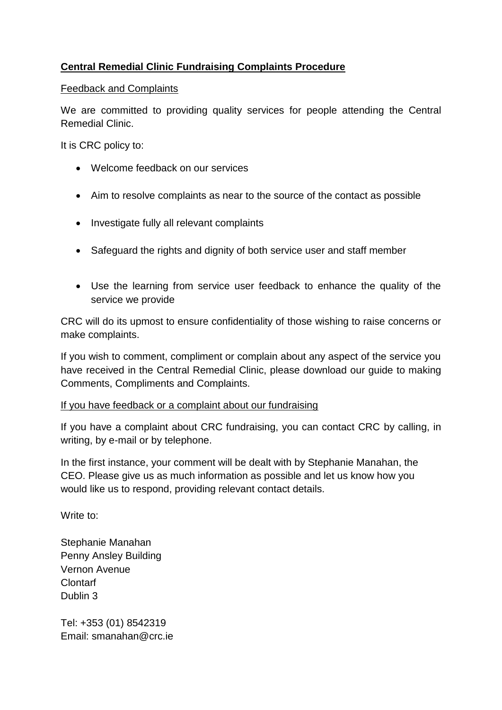# **Central Remedial Clinic Fundraising Complaints Procedure**

## Feedback and Complaints

We are committed to providing quality services for people attending the Central Remedial Clinic.

It is CRC policy to:

- Welcome feedback on our services
- Aim to resolve complaints as near to the source of the contact as possible
- Investigate fully all relevant complaints
- Safeguard the rights and dignity of both service user and staff member
- Use the learning from service user feedback to enhance the quality of the service we provide

CRC will do its upmost to ensure confidentiality of those wishing to raise concerns or make complaints.

If you wish to comment, compliment or complain about any aspect of the service you have received in the Central Remedial Clinic, please download our guide to making Comments, Compliments and Complaints.

## If you have feedback or a complaint about our fundraising

If you have a complaint about CRC fundraising, you can contact CRC by calling, in writing, by e-mail or by telephone.

In the first instance, your comment will be dealt with by Stephanie Manahan, the CEO. Please give us as much information as possible and let us know how you would like us to respond, providing relevant contact details.

Write to:

Stephanie Manahan Penny Ansley Building Vernon Avenue Clontarf Dublin 3

Tel: +353 (01) 8542319 Email: [smanahan@crc.ie](mailto:smanahan@crc.ie)